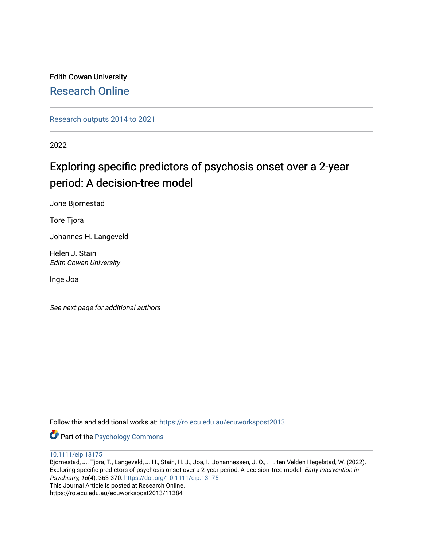Edith Cowan University [Research Online](https://ro.ecu.edu.au/) 

[Research outputs 2014 to 2021](https://ro.ecu.edu.au/ecuworkspost2013) 

2022

# Exploring specific predictors of psychosis onset over a 2-year period: A decision-tree model

Jone Bjornestad

Tore Tjora

Johannes H. Langeveld

Helen J. Stain Edith Cowan University

Inge Joa

See next page for additional authors

Follow this and additional works at: [https://ro.ecu.edu.au/ecuworkspost2013](https://ro.ecu.edu.au/ecuworkspost2013?utm_source=ro.ecu.edu.au%2Fecuworkspost2013%2F11384&utm_medium=PDF&utm_campaign=PDFCoverPages) 

**Part of the Psychology Commons** 

[10.1111/eip.13175](http://dx.doi.org/10.1111/eip.13175) 

Bjornestad, J., Tjora, T., Langeveld, J. H., Stain, H. J., Joa, I., Johannessen, J. O., . . . ten Velden Hegelstad, W. (2022). Exploring specific predictors of psychosis onset over a 2-year period: A decision-tree model. Early Intervention in Psychiatry, 16(4), 363-370. <https://doi.org/10.1111/eip.13175> This Journal Article is posted at Research Online. https://ro.ecu.edu.au/ecuworkspost2013/11384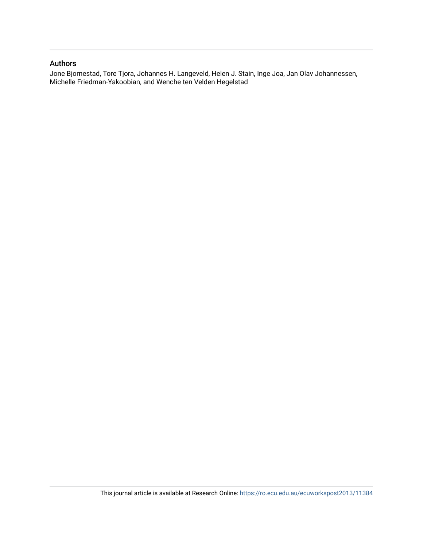# Authors

Jone Bjornestad, Tore Tjora, Johannes H. Langeveld, Helen J. Stain, Inge Joa, Jan Olav Johannessen, Michelle Friedman-Yakoobian, and Wenche ten Velden Hegelstad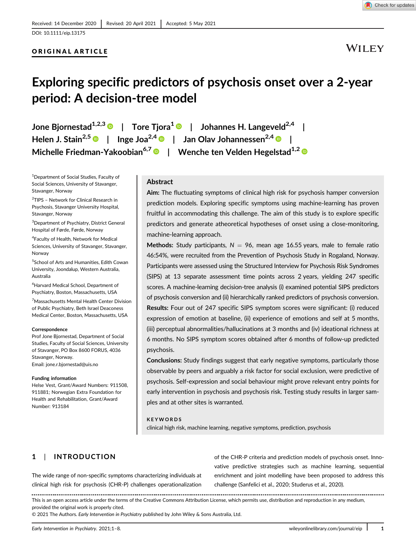DOI: 10.1111/eip.13175

# ORIGINAL ARTICLE

WILEY

# Exploring specific predictors of psychosis onset over a 2-year period: A decision-tree model

Jone Bjornestad<sup>1,2,3</sup> | Tore Tjora<sup>1</sup> | Johannes H. Langeveld<sup>2,4</sup> | Helen J. Stain<sup>2,5</sup> | Inge Joa<sup>2,4</sup> | Jan Olav Johannessen<sup>2,4</sup> | Michelle Friedman-Yakoobian<sup>6,7</sup> | Wenche ten Velden Hegelstad<sup>1,2</sup>

<sup>1</sup>Department of Social Studies, Faculty of Social Sciences, University of Stavanger, Stavanger, Norway

2 TIPS – Network for Clinical Research in Psychosis, Stavanger University Hospital, Stavanger, Norway

3 Department of Psychiatry, District General Hospital of Førde, Førde, Norway

4 Faculty of Health, Network for Medical Sciences, University of Stavanger, Stavanger, Norway

5 School of Arts and Humanities, Edith Cowan University, Joondalup, Western Australia, Australia

6 Harvard Medical School, Department of Psychiatry, Boston, Massachusetts, USA

7 Massachusetts Mental Health Center Division of Public Psychiatry, Beth Israel Deaconess Medical Center, Boston, Massachusetts, USA

#### Correspondence

Prof Jone Bjornestad, Department of Social Studies, Faculty of Social Sciences, University of Stavanger, PO Box 8600 FORUS, 4036 Stavanger, Norway. Email: [jone.r.bjornestad@uis.no](mailto:jone.r.bjornestad@uis.no)

#### Funding information

Helse Vest, Grant/Award Numbers: 911508, 911881; Norwegian Extra Foundation for Health and Rehabilitation, Grant/Award Number: 913184

# Abstract

Aim: The fluctuating symptoms of clinical high risk for psychosis hamper conversion prediction models. Exploring specific symptoms using machine-learning has proven fruitful in accommodating this challenge. The aim of this study is to explore specific predictors and generate atheoretical hypotheses of onset using a close-monitoring, machine-learning approach.

Methods: Study participants,  $N = 96$ , mean age 16.55 years, male to female ratio 46:54%, were recruited from the Prevention of Psychosis Study in Rogaland, Norway. Participants were assessed using the Structured Interview for Psychosis Risk Syndromes (SIPS) at 13 separate assessment time points across 2 years, yielding 247 specific scores. A machine-learning decision-tree analysis (i) examined potential SIPS predictors of psychosis conversion and (ii) hierarchically ranked predictors of psychosis conversion. Results: Four out of 247 specific SIPS symptom scores were significant: (i) reduced expression of emotion at baseline, (ii) experience of emotions and self at 5 months, (iii) perceptual abnormalities/hallucinations at 3 months and (iv) ideational richness at 6 months. No SIPS symptom scores obtained after 6 months of follow-up predicted psychosis.

Conclusions: Study findings suggest that early negative symptoms, particularly those observable by peers and arguably a risk factor for social exclusion, were predictive of psychosis. Self-expression and social behaviour might prove relevant entry points for early intervention in psychosis and psychosis risk. Testing study results in larger samples and at other sites is warranted.

#### **KEYWORDS**

clinical high risk, machine learning, negative symptoms, prediction, psychosis

# 1 | INTRODUCTION

The wide range of non-specific symptoms characterizing individuals at clinical high risk for psychosis (CHR-P) challenges operationalization of the CHR-P criteria and prediction models of psychosis onset. Innovative predictive strategies such as machine learning, sequential enrichment and joint modelling have been proposed to address this challenge (Sanfelici et al., 2020; Studerus et al., 2020).

This is an open access article under the terms of the [Creative Commons Attribution](http://creativecommons.org/licenses/by/4.0/) License, which permits use, distribution and reproduction in any medium, provided the original work is properly cited.

© 2021 The Authors. Early Intervention in Psychiatry published by John Wiley & Sons Australia, Ltd.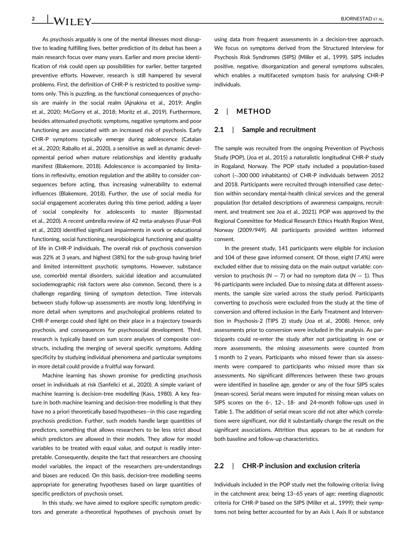As psychosis arguably is one of the mental illnesses most disruptive to leading fulfilling lives, better prediction of its debut has been a main research focus over many years. Earlier and more precise identification of risk could open up possibilities for earlier, better targeted preventive efforts. However, research is still hampered by several problems. First, the definition of CHR-P is restricted to positive symptoms only. This is puzzling, as the functional consequences of psychosis are mainly in the social realm (Ajnakina et al., 2019; Anglin et al., 2020; McGorry et al., 2018; Moritz et al., 2019). Furthermore, besides attenuated psychotic symptoms, negative symptoms and poor functioning are associated with an increased risk of psychosis. Early CHR-P symptoms typically emerge during adolescence (Catalan et al., 2020; Raballo et al., 2020), a sensitive as well as dynamic developmental period when mature relationships and identity gradually manifest (Blakemore, 2018). Adolescence is accompanied by limitations in reflexivity, emotion regulation and the ability to consider consequences before acting, thus increasing vulnerability to external influences (Blakemore, 2018). Further, the use of social media for social engagement accelerates during this time period, adding a layer of social complexity for adolescents to master (Bjornestad et al., 2020). A recent umbrella review of 42 meta-analyses (Fusar-Poli et al., 2020) identified significant impairments in work or educational functioning, social functioning, neurobiological functioning and quality of life in CHR-P individuals. The overall risk of psychosis conversion was 22% at 3 years, and highest (38%) for the sub-group having brief and limited intermittent psychotic symptoms. However, substance use, comorbid mental disorders, suicidal ideation and accumulated sociodemographic risk factors were also common. Second, there is a challenge regarding timing of symptom detection. Time intervals between study follow-up assessments are mostly long. Identifying in more detail when symptoms and psychological problems related to CHR-P emerge could shed light on their place in a trajectory towards psychosis, and consequences for psychosocial development. Third, research is typically based on sum score analyses of composite constructs, including the merging of several specific symptoms. Adding specificity by studying individual phenomena and particular symptoms in more detail could provide a fruitful way forward.

Machine learning has shown promise for predicting psychosis onset in individuals at risk (Sanfelici et al., 2020). A simple variant of machine learning is decision-tree modelling (Kass, 1980). A key feature in both machine learning and decision-tree modelling is that they have no a priori theoretically based hypotheses—in this case regarding psychosis prediction. Further, such models handle large quantities of predictors, something that allows researchers to be less strict about which predictors are allowed in their models. They allow for model variables to be treated with equal value, and output is readily interpretable. Consequently, despite the fact that researchers are choosing model variables, the impact of the researchers pre-understandings and biases are reduced. On this basis, decision-tree modelling seems appropriate for generating hypotheses based on large quantities of specific predictors of psychosis onset.

In this study, we have aimed to explore specific symptom predictors and generate a-theoretical hypotheses of psychosis onset by using data from frequent assessments in a decision-tree approach. We focus on symptoms derived from the Structured Interview for Psychosis Risk Syndromes (SIPS) (Miller et al., 1999). SIPS includes positive, negative, disorganization and general symptoms subscales, which enables a multifaceted symptom basis for analysing CHR-P individuals.

# 2 | METHOD

#### 2.1 | Sample and recruitment

The sample was recruited from the ongoing Prevention of Psychosis Study (POP), (Joa et al., 2015) a naturalistic longitudinal CHR-P study in Rogaland, Norway. The POP study included a population-based cohort ( $\sim$ 300 000 inhabitants) of CHR-P individuals between 2012 and 2018. Participants were recruited through intensified case detection within secondary mental-health clinical services and the general population (for detailed descriptions of awareness campaigns, recruitment, and treatment see Joa et al., 2021). POP was approved by the Regional Committee for Medical Research Ethics Health Region West, Norway (2009/949). All participants provided written informed consent.

In the present study, 141 participants were eligible for inclusion and 104 of these gave informed consent. Of those, eight (7.4%) were excluded either due to missing data on the main output variable: conversion to psychosis ( $N = 7$ ) or had no symptom data ( $N = 1$ ). Thus 96 participants were included. Due to missing data at different assessments, the sample size varied across the study period. Participants converting to psychosis were excluded from the study at the time of conversion and offered inclusion in the Early Treatment and Intervention in Psychosis-2 (TIPS 2) study (Joa et al., 2008). Hence, only assessments prior to conversion were included in the analysis. As participants could re-enter the study after not participating in one or more assessments, the missing assessments were counted from 1 month to 2 years. Participants who missed fewer than six assessments were compared to participants who missed more than six assessments. No significant differences between these two groups were identified in baseline age, gender or any of the four SIPS scales (mean-scores). Serial means were imputed for missing mean values on SIPS scores on the 6-, 12-, 18- and 24-month follow-ups used in Table 1. The addition of serial mean score did not alter which correlations were significant, nor did it substantially change the result on the significant associations. Attrition thus appears to be at random for both baseline and follow-up characteristics.

# 2.2 | CHR-P inclusion and exclusion criteria

Individuals included in the POP study met the following criteria: living in the catchment area; being 13–65 years of age; meeting diagnostic criteria for CHR-P based on the SIPS (Miller et al., 1999); their symptoms not being better accounted for by an Axis I, Axis II or substance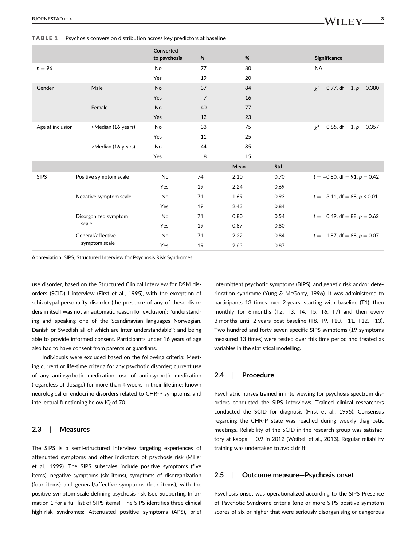TABLE 1 Psychosis conversion distribution across key predictors at baseline

|                  |                                    | Converted<br>to psychosis | ${\sf N}$      | %    |      | <b>Significance</b>                |
|------------------|------------------------------------|---------------------------|----------------|------|------|------------------------------------|
| $n = 96$         |                                    | <b>No</b>                 | 77             | 80   |      | <b>NA</b>                          |
|                  |                                    | Yes                       | 19             | 20   |      |                                    |
| Gender           | Male                               | <b>No</b>                 | 37             | 84   |      | $\chi^2$ = 0.77, df = 1, p = 0.380 |
|                  |                                    | Yes                       | $\overline{7}$ | 16   |      |                                    |
|                  | Female                             | No                        | 40             | 77   |      |                                    |
|                  |                                    | Yes                       | 12             | 23   |      |                                    |
| Age at inclusion | >Median (16 years)                 | No                        | 33             | 75   |      | $\chi^2$ = 0.85, df = 1, p = 0.357 |
|                  |                                    | Yes                       | 11             | 25   |      |                                    |
|                  | >Median (16 years)                 | No                        | 44             | 85   |      |                                    |
|                  |                                    | Yes                       | 8              | 15   |      |                                    |
|                  |                                    |                           |                | Mean | Std  |                                    |
| <b>SIPS</b>      | Positive symptom scale             | <b>No</b>                 | 74             | 2.10 | 0.70 | $t = -0.80$ . df = 91, p = 0.42    |
|                  |                                    | Yes                       | 19             | 2.24 | 0.69 |                                    |
|                  | Negative symptom scale             | No                        | 71             | 1.69 | 0.93 | $t = -3.11$ , df = 88, p < 0.01    |
|                  |                                    | Yes                       | 19             | 2.43 | 0.84 |                                    |
|                  | Disorganized symptom<br>scale      | No                        | 71             | 0.80 | 0.54 | $t = -0.49$ , df = 88, $p = 0.62$  |
|                  |                                    | Yes                       | 19             | 0.87 | 0.80 |                                    |
|                  | General/affective<br>symptom scale | No                        | 71             | 2.22 | 0.84 | $t = -1.87$ , df = 88, p = 0.07    |
|                  |                                    | Yes                       | 19             | 2.63 | 0.87 |                                    |

Abbreviation: SIPS, Structured Interview for Psychosis Risk Syndromes.

use disorder, based on the Structured Clinical Interview for DSM disorders (SCID) I interview (First et al., 1995), with the exception of schizotypal personality disorder (the presence of any of these disorders in itself was not an automatic reason for exclusion); "understanding and speaking one of the Scandinavian languages Norwegian, Danish or Swedish all of which are inter-understandable"; and being able to provide informed consent. Participants under 16 years of age also had to have consent from parents or guardians.

Individuals were excluded based on the following criteria: Meeting current or life-time criteria for any psychotic disorder; current use of any antipsychotic medication; use of antipsychotic medication (regardless of dosage) for more than 4 weeks in their lifetime; known neurological or endocrine disorders related to CHR-P symptoms; and intellectual functioning below IQ of 70.

#### 2.3 | Measures

The SIPS is a semi-structured interview targeting experiences of attenuated symptoms and other indicators of psychosis risk (Miller et al., 1999). The SIPS subscales include positive symptoms (five items), negative symptoms (six items), symptoms of disorganization (four items) and general/affective symptoms (four items), with the positive symptom scale defining psychosis risk (see Supporting Information 1 for a full list of SIPS-items). The SIPS identifies three clinical high-risk syndromes: Attenuated positive symptoms (APS), brief

intermittent psychotic symptoms (BIPS), and genetic risk and/or deterioration syndrome (Yung & McGorry, 1996). It was administered to participants 13 times over 2 years, starting with baseline (T1), then monthly for 6 months (T2, T3, T4, T5, T6, T7) and then every 3 months until 2 years post baseline (T8, T9, T10, T11, T12, T13). Two hundred and forty seven specific SIPS symptoms (19 symptoms measured 13 times) were tested over this time period and treated as variables in the statistical modelling.

## 2.4 | Procedure

Psychiatric nurses trained in interviewing for psychosis spectrum disorders conducted the SIPS interviews. Trained clinical researchers conducted the SCID for diagnosis (First et al., 1995). Consensus regarding the CHR-P state was reached during weekly diagnostic meetings. Reliability of the SCID in the research group was satisfactory at kappa  $= 0.9$  in 2012 (Weibell et al., 2013). Regular reliability training was undertaken to avoid drift.

### 2.5 | Outcome measure—Psychosis onset

Psychosis onset was operationalized according to the SIPS Presence of Psychotic Syndrome criteria (one or more SIPS positive symptom scores of six or higher that were seriously disorganising or dangerous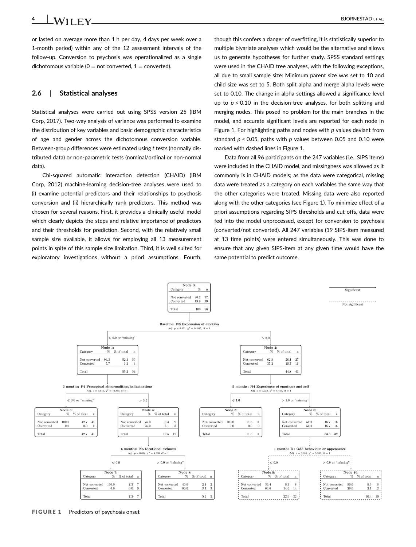or lasted on average more than 1 h per day, 4 days per week over a 1-month period) within any of the 12 assessment intervals of the follow-up. Conversion to psychosis was operationalized as a single dichotomous variable ( $0 =$  not converted,  $1 =$  converted).

## 2.6 | Statistical analyses

Statistical analyses were carried out using SPSS version 25 (IBM Corp, 2017). Two-way analysis of variance was performed to examine the distribution of key variables and basic demographic characteristics of age and gender across the dichotomous conversion variable. Between-group differences were estimated using t tests (normally distributed data) or non-parametric tests (nominal/ordinal or non-normal data).

Chi-squared automatic interaction detection (CHAID) (IBM Corp, 2012) machine-learning decision-tree analyses were used to (i) examine potential predictors and their relationships to psychosis conversion and (ii) hierarchically rank predictors. This method was chosen for several reasons. First, it provides a clinically useful model which clearly depicts the steps and relative importance of predictors and their thresholds for prediction. Second, with the relatively small sample size available, it allows for employing all 13 measurement points in spite of this sample size limitation. Third, it is well suited for exploratory investigations without a priori assumptions. Fourth,

though this confers a danger of overfitting, it is statistically superior to multiple bivariate analyses which would be the alternative and allows us to generate hypotheses for further study. SPSS standard settings were used in the CHAID tree analyses, with the following exceptions, all due to small sample size: Minimum parent size was set to 10 and child size was set to 5. Both split alpha and merge alpha levels were set to 0.10. The change in alpha settings allowed a significance level up to  $p < 0.10$  in the decision-tree analyses, for both splitting and merging nodes. This posed no problem for the main branches in the model, and accurate significant levels are reported for each node in Figure 1. For highlighting paths and nodes with  $p$  values deviant from standard  $p < 0.05$ , paths with p values between 0.05 and 0.10 were marked with dashed lines in Figure 1.

Data from all 96 participants on the 247 variables (i.e., SIPS items) were included in the CHAID model, and missingness was allowed as it commonly is in CHAID models; as the data were categorical, missing data were treated as a category on each variables the same way that the other categories were treated. Missing data were also reported along with the other categories (see Figure 1). To minimize effect of a priori assumptions regarding SIPS thresholds and cut-offs, data were fed into the model unprocessed, except for conversion to psychosis (converted/not converted). All 247 variables (19 SIPS-item measured at 13 time points) were entered simultaneously. This was done to ensure that any given SIPS-item at any given time would have the same potential to predict outcome.



FIGURE 1 Predictors of psychosis onset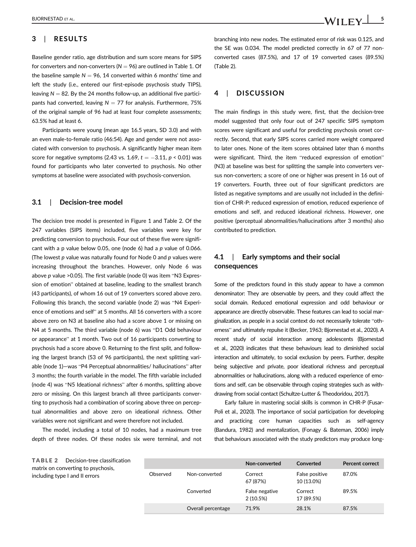# 3 | RESULTS

Baseline gender ratio, age distribution and sum score means for SIPS for converters and non-converters ( $N = 96$ ) are outlined in Table 1. Of the baseline sample  $N = 96$ , 14 converted within 6 months' time and left the study (i.e., entered our first-episode psychosis study TIPS), leaving  $N = 82$ . By the 24 months follow-up, an additional five participants had converted, leaving  $N = 77$  for analysis. Furthermore, 75% of the original sample of 96 had at least four complete assessments; 63.5% had at least 6.

Participants were young (mean age 16.5 years, SD 3.0) and with an even male-to-female ratio (46:54). Age and gender were not associated with conversion to psychosis. A significantly higher mean item score for negative symptoms (2.43 vs. 1.69,  $t = -3.11$ ,  $p < 0.01$ ) was found for participants who later converted to psychosis. No other symptoms at baseline were associated with psychosis-conversion.

#### 3.1 | Decision-tree model

The decision tree model is presented in Figure 1 and Table 2. Of the 247 variables (SIPS items) included, five variables were key for predicting conversion to psychosis. Four out of these five were significant with a p value below 0.05, one (node 6) had a  $p$  value of 0.066. (The lowest  $p$  value was naturally found for Node  $0$  and  $p$  values were increasing throughout the branches. However, only Node 6 was above p value >0.05). The first variable (node 0) was item "N3 Expression of emotion" obtained at baseline, leading to the smallest branch (43 participants), of whom 16 out of 19 converters scored above zero. Following this branch, the second variable (node 2) was "N4 Experience of emotions and self" at 5 months. All 16 converters with a score above zero on N3 at baseline also had a score above 1 or missing on N4 at 5 months. The third variable (node 6) was "D1 Odd behaviour or appearance" at 1 month. Two out of 16 participants converting to psychosis had a score above 0. Returning to the first split, and following the largest branch (53 of 96 participants), the next splitting variable (node 1)—was "P4 Perceptual abnormalities/ hallucinations" after 3 months; the fourth variable in the model. The fifth variable included (node 4) was "N5 Ideational richness" after 6 months, splitting above zero or missing. On this largest branch all three participants converting to psychosis had a combination of scoring above three on perceptual abnormalities and above zero on ideational richness. Other variables were not significant and were therefore not included.

The model, including a total of 10 nodes, had a maximum tree depth of three nodes. Of these nodes six were terminal, and not branching into new nodes. The estimated error of risk was 0.125, and the SE was 0.034. The model predicted correctly in 67 of 77 nonconverted cases (87.5%), and 17 of 19 converted cases (89.5%) (Table 2).

# 4 | DISCUSSION

The main findings in this study were, first, that the decision-tree model suggested that only four out of 247 specific SIPS symptom scores were significant and useful for predicting psychosis onset correctly. Second, that early SIPS scores carried more weight compared to later ones. None of the item scores obtained later than 6 months were significant. Third, the item "reduced expression of emotion" (N3) at baseline was best for splitting the sample into converters versus non-converters; a score of one or higher was present in 16 out of 19 converters. Fourth, three out of four significant predictors are listed as negative symptoms and are usually not included in the definition of CHR-P: reduced expression of emotion, reduced experience of emotions and self, and reduced ideational richness. However, one positive (perceptual abnormalities/hallucinations after 3 months) also contributed to prediction.

# 4.1 | Early symptoms and their social consequences

Some of the predictors found in this study appear to have a common denominator: They are observable by peers, and they could affect the social domain. Reduced emotional expression and odd behaviour or appearance are directly observable. These features can lead to social marginalization, as people in a social context do not necessarily tolerate "otherness" and ultimately repulse it (Becker, 1963; Bjornestad et al., 2020). A recent study of social interaction among adolescents (Bjornestad et al., 2020) indicates that these behaviours lead to diminished social interaction and ultimately, to social exclusion by peers. Further, despite being subjective and private, poor ideational richness and perceptual abnormalities or hallucinations, along with a reduced experience of emotions and self, can be observable through coping strategies such as withdrawing from social contact (Schultze-Lutter & Theodoridou, 2017).

Early failure in mastering social skills is common in CHR-P (Fusar-Poli et al., 2020). The importance of social participation for developing and practicing core human capacities such as self-agency (Bandura, 1982) and mentalization, (Fonagy & Bateman, 2006) imply that behaviours associated with the study predictors may produce long-

|          |                    | Non-converted              | Converted                    | <b>Percent correct</b> |
|----------|--------------------|----------------------------|------------------------------|------------------------|
| Observed | Non-converted      | Correct<br>67 (87%)        | False positive<br>10 (13.0%) | 87.0%                  |
|          | Converted          | False negative<br>2(10.5%) | Correct<br>17 (89.5%)        | 89.5%                  |
|          | Overall percentage | 71.9%                      | 28.1%                        | 87.5%                  |

TABLE 2 Decision-tree classification matrix on converting to psychosis, including type I and II errors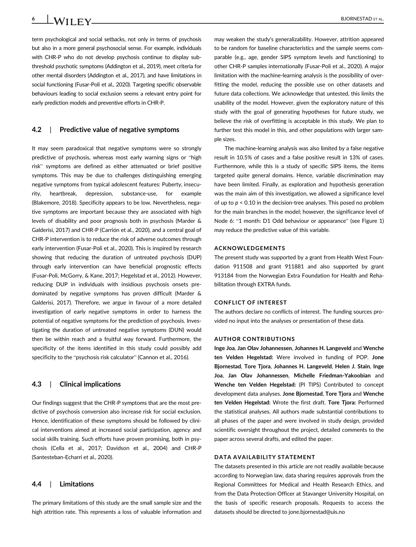6 BJORNESTAD ET AL.

term psychological and social setbacks, not only in terms of psychosis but also in a more general psychosocial sense. For example, individuals with CHR-P who do not develop psychosis continue to display subthreshold psychotic symptoms (Addington et al., 2019), meet criteria for other mental disorders (Addington et al., 2017), and have limitations in social functioning (Fusar-Poli et al., 2020). Targeting specific observable behaviours leading to social exclusion seems a relevant entry point for early prediction models and preventive efforts in CHR-P.

#### 4.2 | Predictive value of negative symptoms

It may seem paradoxical that negative symptoms were so strongly predictive of psychosis, whereas most early warning signs or "high risk" symptoms are defined as either attenuated or brief positive symptoms. This may be due to challenges distinguishing emerging negative symptoms from typical adolescent features: Puberty, insecurity, heartbreak, depression, substance-use, for example (Blakemore, 2018). Specificity appears to be low. Nevertheless, negative symptoms are important because they are associated with high levels of disability and poor prognosis both in psychosis (Marder & Galderisi, 2017) and CHR-P (Carrión et al., 2020), and a central goal of CHR-P intervention is to reduce the risk of adverse outcomes through early intervention (Fusar-Poli et al., 2020). This is inspired by research showing that reducing the duration of untreated psychosis (DUP) through early intervention can have beneficial prognostic effects (Fusar-Poli, McGorry, & Kane, 2017; Hegelstad et al., 2012). However, reducing DUP in individuals with insidious psychosis onsets predominated by negative symptoms has proven difficult (Marder & Galderisi, 2017). Therefore, we argue in favour of a more detailed investigation of early negative symptoms in order to harness the potential of negative symptoms for the prediction of psychosis. Investigating the duration of untreated negative symptoms (DUN) would then be within reach and a fruitful way forward. Furthermore, the specificity of the items identified in this study could possibly add specificity to the "psychosis risk calculator" (Cannon et al., 2016).

#### 4.3 | Clinical implications

Our findings suggest that the CHR-P symptoms that are the most predictive of psychosis conversion also increase risk for social exclusion. Hence, identification of these symptoms should be followed by clinical interventions aimed at increased social participation, agency and social skills training. Such efforts have proven promising, both in psychosis (Cella et al., 2017; Davidson et al., 2004) and CHR-P (Santesteban-Echarri et al., 2020).

## 4.4 | Limitations

The primary limitations of this study are the small sample size and the high attrition rate. This represents a loss of valuable information and

may weaken the study's generalizability. However, attrition appeared to be random for baseline characteristics and the sample seems comparable (e.g., age, gender SIPS symptom levels and functioning) to other CHR-P samples internationally (Fusar-Poli et al., 2020). A major limitation with the machine-learning analysis is the possibility of overfitting the model, reducing the possible use on other datasets and future data collections. We acknowledge that untested, this limits the usability of the model. However, given the exploratory nature of this study with the goal of generating hypotheses for future study, we believe the risk of overfitting is acceptable in this study. We plan to further test this model in this, and other populations with larger sample sizes.

The machine-learning analysis was also limited by a false negative result in 10.5% of cases and a false positive result in 13% of cases. Furthermore, while this is a study of specific SIPS items, the items targeted quite general domains. Hence, variable discrimination may have been limited. Finally, as exploration and hypothesis generation was the main aim of this investigation, we allowed a significance level of up to  $p < 0.10$  in the decision-tree analyses. This posed no problem for the main branches in the model; however, the significance level of Node 6: "1 month: D1 Odd behaviour or appearance" (see Figure 1) may reduce the predictive value of this variable.

### ACKNOWLEDGEMENTS

The present study was supported by a grant from Health West Foundation 911508 and grant 911881 and also supported by grant 913184 from the Norwegian Extra Foundation for Health and Rehabilitation through EXTRA funds.

#### CONFLICT OF INTEREST

The authors declare no conflicts of interest. The funding sources provided no input into the analyses or presentation of these data.

#### AUTHOR CONTRIBUTIONS

Inge Joa, Jan Olav Johannessen, Johannes H. Langeveld and Wenche ten Velden Hegelstad: Were involved in funding of POP. Jone Bjornestad, Tore Tjora, Johannes H. Langeveld, Helen J. Stain, Inge Joa, Jan Olav Johannessen, Michelle Friedman-Yakoobian and Wenche ten Velden Hegelstad: (PI TIPS) Contributed to concept development data analyses. Jone Bjornestad, Tore Tjora and Wenche ten Velden Hegelstad: Wrote the first draft. Tore Tjora: Performed the statistical analyses. All authors made substantial contributions to all phases of the paper and were involved in study design, provided scientific oversight throughout the project, detailed comments to the paper across several drafts, and edited the paper.

#### DATA AVAILABILITY STATEMENT

The datasets presented in this article are not readily available because according to Norwegian law, data sharing requires approvals from the Regional Committees for Medical and Health Research Ethics, and from the Data Protection Officer at Stavanger University Hospital, on the basis of specific research proposals. Requests to access the datasets should be directed to [jone.bjornestad@uis.no](mailto:jone.bjornestad@uis.no)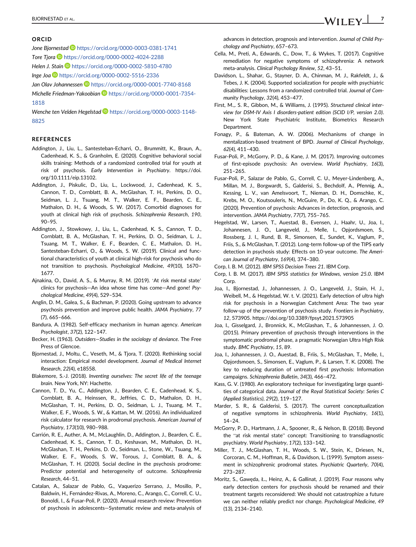#### ORCID

Jone Bjornestad <https://orcid.org/0000-0003-0381-1741> Tore Tiora <https://orcid.org/0000-0002-4024-2288> Helen J. Stain **b** <https://orcid.org/0000-0002-5810-4780> Inge Joa <https://orcid.org/0000-0002-5516-2336> Jan Olav Johannessen D <https://orcid.org/0000-0001-7740-8168> Michelle Friedman-Yakoobian [https://orcid.org/0000-0001-7354-](https://orcid.org/0000-0001-7354-1818) [1818](https://orcid.org/0000-0001-7354-1818)

Wenche ten Velden Hegelstad [https://orcid.org/0000-0003-1148-](https://orcid.org/0000-0003-1148-8825) [8825](https://orcid.org/0000-0003-1148-8825)

#### **REFERENCES**

- Addington, J., Liu, L., Santesteban-Echarri, O., Brummitt, K., Braun, A., Cadenhead, K. S., & Granholm, E. (2020). Cognitive behavioral social skills training: Methods of a randomized controlled trial for youth at risk of psychosis. Early Intervention in Psychiatry. https://doi. org/10.1111/eip.13102.
- Addington, J., Piskulic, D., Liu, L., Lockwood, J., Cadenhead, K. S., Cannon, T. D., Cornblatt, B. A., McGlashan, T. H., Perkins, D. O., Seidman, L. J., Tsuang, M. T., Walker, E. F., Bearden, C. E., Mathalon, D. H., & Woods, S. W. (2017). Comorbid diagnoses for youth at clinical high risk of psychosis. Schizophrenia Research, 190, 90–95.
- Addington, J., Stowkowy, J., Liu, L., Cadenhead, K. S., Cannon, T. D., Cornblatt, B. A., McGlashan, T. H., Perkins, D. O., Seidman, L. J., Tsuang, M. T., Walker, E. F., Bearden, C. E., Mathalon, D. H., Santesteban-Echarri, O., & Woods, S. W. (2019). Clinical and functional characteristics of youth at clinical high-risk for psychosis who do not transition to psychosis. Psychological Medicine, 49(10), 1670– 1677.
- Ajnakina, O., David, A. S., & Murray, R. M. (2019). 'At risk mental state' clinics for psychosis—An idea whose time has come—And gone! Psychological Medicine, 49(4), 529–534.
- Anglin, D. M., Galea, S., & Bachman, P. (2020). Going upstream to advance psychosis prevention and improve public health. JAMA Psychiatry, 77 (7), 665–666.
- Bandura, A. (1982). Self-efficacy mechanism in human agency. American Psychologist, 37(2), 122–147.
- Becker, H. (1963). Outsiders—Studies in the sociology of deviance. The Free Press of Glencoe.
- Bjornestad, J., Moltu, C., Veseth, M., & Tjora, T. (2020). Rethinking social interaction: Empirical model development. Journal of Medical Internet Research, 22(4), e18558.
- Blakemore, S.-J. (2018). Inventing ourselves: The secret life of the teenage brain. New York, NY: Hachette.
- Cannon, T. D., Yu, C., Addington, J., Bearden, C. E., Cadenhead, K. S., Cornblatt, B. A., Heinssen, R., Jeffries, C. D., Mathalon, D. H., McGlashan, T. H., Perkins, D. O., Seidman, L. J., Tsuang, M. T., Walker, E. F., Woods, S. W., & Kattan, M. W. (2016). An individualized risk calculator for research in prodromal psychosis. American Journal of Psychiatry, 173(10), 980–988.
- Carrión, R. E., Auther, A. M., McLaughlin, D., Addington, J., Bearden, C. E., Cadenhead, K. S., Cannon, T. D., Keshavan, M., Mathalon, D. H., McGlashan, T. H., Perkins, D. O., Seidman, L., Stone, W., Tsuang, M., Walker, E. F., Woods, S. W., Torous, J., Cornblatt, B. A., & McGlashan, T. H. (2020). Social decline in the psychosis prodrome: Predictor potential and heterogeneity of outcome. Schizophrenia Research, 44–51.
- Catalan, A., Salazar de Pablo, G., Vaquerizo Serrano, J., Mosillo, P., Baldwin, H., Fernández-Rivas, A., Moreno, C., Arango, C., Correll, C. U., Bonoldi, I., & Fusar-Poli, P. (2020). Annual research review: Prevention of psychosis in adolescents—Systematic review and meta-analysis of

advances in detection, prognosis and intervention. Journal of Child Psychology and Psychiatry, 657–673.

- Cella, M., Preti, A., Edwards, C., Dow, T., & Wykes, T. (2017). Cognitive remediation for negative symptoms of schizophrenia: A network meta-analysis. Clinical Psychology Review, 52, 43–51.
- Davidson, L., Shahar, G., Stayner, D. A., Chinman, M. J., Rakfeldt, J., & Tebes, J. K. (2004). Supported socialization for people with psychiatric disabilities: Lessons from a randomized controlled trial. Journal of Community Psychology, 32(4), 453–477.
- First, M.,. S. R., Gibbon, M., & Williams, J. (1995). Structured clinical interview for DSM-IV Axis I disorders-patient edition (SCID I/P, version 2.0). New York State Psychiatric Institute, Biometrics Research Department.
- Fonagy, P., & Bateman, A. W. (2006). Mechanisms of change in mentalization-based treatment of BPD. Journal of Clinical Psychology, 62(4), 411–430.
- Fusar-Poli, P., McGorry, P. D., & Kane, J. M. (2017). Improving outcomes of first-episode psychosis: An overview. World Psychiatry, 16(3), 251–265.
- Fusar-Poli, P., Salazar de Pablo, G., Correll, C. U., Meyer-Lindenberg, A., Millan, M. J., Borgwardt, S., Galderisi, S., Bechdolf, A., Pfennig, A., Kessing, L. V., van Amelsvoort, T., Nieman, D. H., Domschke, K., Krebs, M. O., Koutsouleris, N., McGuire, P., Do, K. Q., & Arango, C. (2020). Prevention of psychosis: Advances in detection, prognosis, and intervention. JAMA Psychiatry, 77(7), 755–765.
- Hegelstad, W., Larsen, T., Auestad, B., Evensen, J., Haahr, U., Joa, I., Johannesen, J. O., Langeveld, J., Melle, I., Opjordsmoen, S., Rossberg, J. I., Rund, B. R., Simonsen, E., Sundet, K., Vaglum, P., Friis, S., & McGlashan, T. (2012). Long-term follow-up of the TIPS early detection in psychosis study: Effects on 10-year outcome. The American Journal of Psychiatry, 169(4), 374–380.
- Corp, I. B. M. (2012). IBM SPSS Decision Trees 21. IBM Corp.
- Corp, I. B. M. (2017). IBM SPSS statistics for Windows, version 25.0. IBM Corp.
- Joa, I., Bjornestad, J., Johannessen, J. O., Langeveld, J., Stain, H. J., Weibell, M., & Hegelstad, W. t. V. (2021). Early detection of ultra high risk for psychosis in a Norwegian Catchment Area: The two year follow-up of the prevention of psychosis study. Frontiers in Psychiatry, 12, 573905.<https://doi.org/10.3389/fpsyt.2021.573905>
- Joa, I., Gisselgard, J., Bronnick, K., McGlashan, T., & Johannessen, J. O. (2015). Primary prevention of psychosis through interventions in the symptomatic prodromal phase, a pragmatic Norwegian Ultra High Risk study. BMC Psychiatry, 15, 89.
- Joa, I., Johannessen, J. O., Auestad, B., Friis, S., McGlashan, T., Melle, I., Opjordsmoen, S., Simonsen, E., Vaglum, P., & Larsen, T. K. (2008). The key to reducing duration of untreated first psychosis: Information campaigns. Schizophrenia Bulletin, 34(3), 466–472.
- Kass, G. V. (1980). An exploratory technique for investigating large quantities of categorical data. Journal of the Royal Statistical Society: Series C (Applied Statistics), 29(2), 119–127.
- Marder, S. R., & Galderisi, S. (2017). The current conceptualization of negative symptoms in schizophrenia. World Psychiatry, 16(1), 14–24.
- McGorry, P. D., Hartmann, J. A., Spooner, R., & Nelson, B. (2018). Beyond the "at risk mental state" concept: Transitioning to transdiagnostic psychiatry. World Psychiatry, 17(2), 133–142.
- Miller, T. J., McGlashan, T. H., Woods, S. W., Stein, K., Driesen, N., Corcoran, C. M., Hoffman, R., & Davidson, L. (1999). Symptom assessment in schizophrenic prodromal states. Psychiatric Quarterly, 70(4), 273–287.
- Moritz, S., Gawęda, Ł., Heinz, A., & Gallinat, J. (2019). Four reasons why early detection centers for psychosis should be renamed and their treatment targets reconsidered: We should not catastrophize a future we can neither reliably predict nor change. Psychological Medicine, 49 (13), 2134–2140.